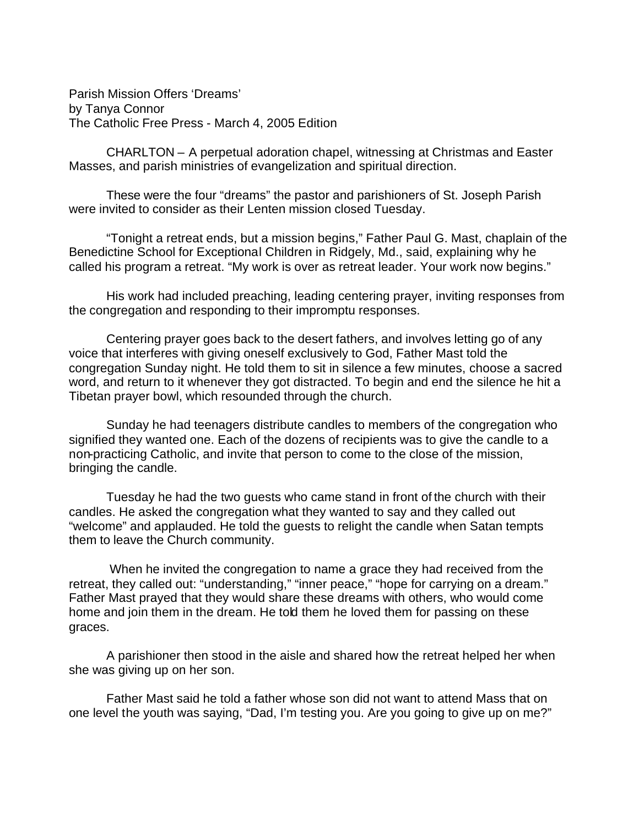Parish Mission Offers 'Dreams' by Tanya Connor The Catholic Free Press - March 4, 2005 Edition

CHARLTON – A perpetual adoration chapel, witnessing at Christmas and Easter Masses, and parish ministries of evangelization and spiritual direction.

These were the four "dreams" the pastor and parishioners of St. Joseph Parish were invited to consider as their Lenten mission closed Tuesday.

"Tonight a retreat ends, but a mission begins," Father Paul G. Mast, chaplain of the Benedictine School for Exceptional Children in Ridgely, Md., said, explaining why he called his program a retreat. "My work is over as retreat leader. Your work now begins."

His work had included preaching, leading centering prayer, inviting responses from the congregation and responding to their impromptu responses.

Centering prayer goes back to the desert fathers, and involves letting go of any voice that interferes with giving oneself exclusively to God, Father Mast told the congregation Sunday night. He told them to sit in silence a few minutes, choose a sacred word, and return to it whenever they got distracted. To begin and end the silence he hit a Tibetan prayer bowl, which resounded through the church.

Sunday he had teenagers distribute candles to members of the congregation who signified they wanted one. Each of the dozens of recipients was to give the candle to a non-practicing Catholic, and invite that person to come to the close of the mission, bringing the candle.

Tuesday he had the two guests who came stand in front of the church with their candles. He asked the congregation what they wanted to say and they called out "welcome" and applauded. He told the guests to relight the candle when Satan tempts them to leave the Church community.

 When he invited the congregation to name a grace they had received from the retreat, they called out: "understanding," "inner peace," "hope for carrying on a dream." Father Mast prayed that they would share these dreams with others, who would come home and join them in the dream. He told them he loved them for passing on these graces.

A parishioner then stood in the aisle and shared how the retreat helped her when she was giving up on her son.

Father Mast said he told a father whose son did not want to attend Mass that on one level the youth was saying, "Dad, I'm testing you. Are you going to give up on me?"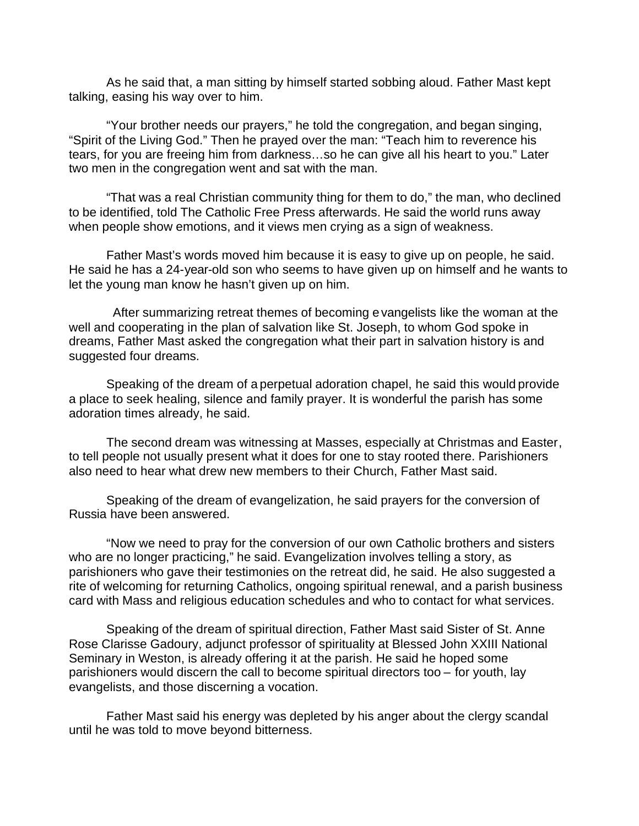As he said that, a man sitting by himself started sobbing aloud. Father Mast kept talking, easing his way over to him.

"Your brother needs our prayers," he told the congregation, and began singing, "Spirit of the Living God." Then he prayed over the man: "Teach him to reverence his tears, for you are freeing him from darkness…so he can give all his heart to you." Later two men in the congregation went and sat with the man.

"That was a real Christian community thing for them to do," the man, who declined to be identified, told The Catholic Free Press afterwards. He said the world runs away when people show emotions, and it views men crying as a sign of weakness.

Father Mast's words moved him because it is easy to give up on people, he said. He said he has a 24-year-old son who seems to have given up on himself and he wants to let the young man know he hasn't given up on him.

 After summarizing retreat themes of becoming evangelists like the woman at the well and cooperating in the plan of salvation like St. Joseph, to whom God spoke in dreams, Father Mast asked the congregation what their part in salvation history is and suggested four dreams.

Speaking of the dream of a perpetual adoration chapel, he said this would provide a place to seek healing, silence and family prayer. It is wonderful the parish has some adoration times already, he said.

The second dream was witnessing at Masses, especially at Christmas and Easter, to tell people not usually present what it does for one to stay rooted there. Parishioners also need to hear what drew new members to their Church, Father Mast said.

Speaking of the dream of evangelization, he said prayers for the conversion of Russia have been answered.

"Now we need to pray for the conversion of our own Catholic brothers and sisters who are no longer practicing," he said. Evangelization involves telling a story, as parishioners who gave their testimonies on the retreat did, he said. He also suggested a rite of welcoming for returning Catholics, ongoing spiritual renewal, and a parish business card with Mass and religious education schedules and who to contact for what services.

Speaking of the dream of spiritual direction, Father Mast said Sister of St. Anne Rose Clarisse Gadoury, adjunct professor of spirituality at Blessed John XXIII National Seminary in Weston, is already offering it at the parish. He said he hoped some parishioners would discern the call to become spiritual directors too – for youth, lay evangelists, and those discerning a vocation.

Father Mast said his energy was depleted by his anger about the clergy scandal until he was told to move beyond bitterness.